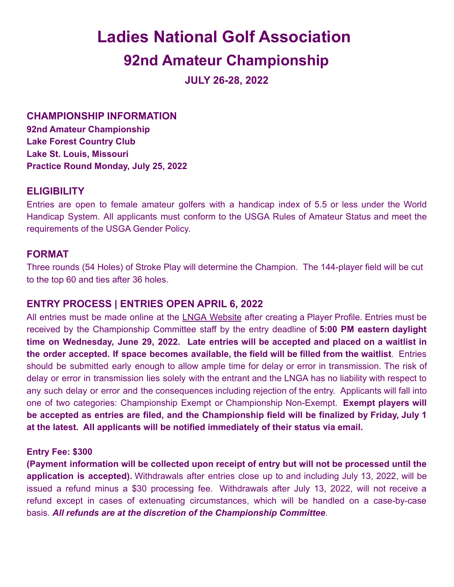# **Ladies National Golf Association**

## **92nd Amateur Championship**

**JULY 26-28, 2022**

**CHAMPIONSHIP INFORMATION**

**92nd Amateur Championship Lake Forest Country Club Lake St. Louis, Missouri Practice Round Monday, July 25, 2022**

## **ELIGIBILITY**

Entries are open to female amateur golfers with a handicap index of 5.5 or less under the World Handicap System. All applicants must conform to the USGA Rules of Amateur Status and meet the requirements of the USGA Gender Policy.

## **FORMAT**

Three rounds (54 Holes) of Stroke Play will determine the Champion. The 144-player field will be cut to the top 60 and ties after 36 holes.

## **ENTRY PROCESS | ENTRIES OPEN APRIL 6, 2022**

All entries must be made online at the LNGA [Website](http://ladiesnationalgolf.org/) after creating a Player Profile. Entries must be received by the Championship Committee staff by the entry deadline of **5:00 PM eastern daylight time on Wednesday, June 29, 2022. Late entries will be accepted and placed on a waitlist in the order accepted. If space becomes available, the field will be filled from the waitlist**. Entries should be submitted early enough to allow ample time for delay or error in transmission. The risk of delay or error in transmission lies solely with the entrant and the LNGA has no liability with respect to any such delay or error and the consequences including rejection of the entry. Applicants will fall into one of two categories: Championship Exempt or Championship Non-Exempt. **Exempt players will be accepted as entries are filed, and the Championship field will be finalized by Friday, July 1 at the latest. All applicants will be notified immediately of their status via email.**

#### **Entry Fee: \$300**

**(Payment information will be collected upon receipt of entry but will not be processed until the application is accepted).** Withdrawals after entries close up to and including July 13, 2022, will be issued a refund minus a \$30 processing fee. Withdrawals after July 13, 2022, will not receive a refund except in cases of extenuating circumstances, which will be handled on a case-by-case basis. *All refunds are at the discretion of the Championship Committee*.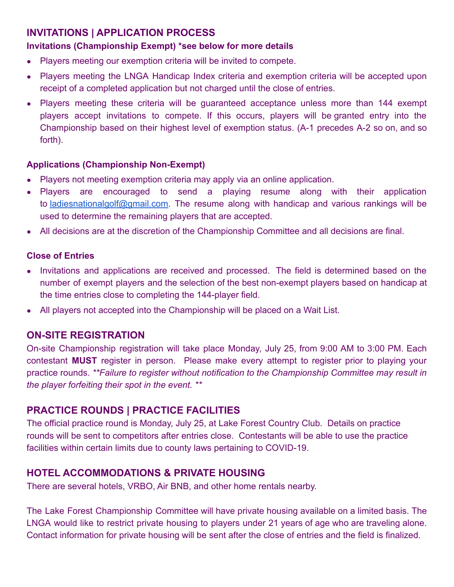## **INVITATIONS | APPLICATION PROCESS**

#### **Invitations (Championship Exempt) \*see below for more details**

- Players meeting our exemption criteria will be invited to compete.
- Players meeting the LNGA Handicap Index criteria and exemption criteria will be accepted upon receipt of a completed application but not charged until the close of entries.
- Players meeting these criteria will be quaranteed acceptance unless more than 144 exempt players accept invitations to compete. If this occurs, players will be granted entry into the Championship based on their highest level of exemption status. (A-1 precedes A-2 so on, and so forth).

#### **Applications (Championship Non-Exempt)**

- Players not meeting exemption criteria may apply via an online application.
- Players are encouraged to send a playing resume along with their application to [ladiesnationalgolf@gmail.com.](mailto:ladiesnationalgolf@gmail.com) The resume along with handicap and various rankings will be used to determine the remaining players that are accepted.
- All decisions are at the discretion of the Championship Committee and all decisions are final.

#### **Close of Entries**

- Invitations and applications are received and processed. The field is determined based on the number of exempt players and the selection of the best non-exempt players based on handicap at the time entries close to completing the 144-player field.
- All players not accepted into the Championship will be placed on a Wait List.

## **ON-SITE REGISTRATION**

On-site Championship registration will take place Monday, July 25, from 9:00 AM to 3:00 PM. Each contestant **MUST** register in person. Please make every attempt to register prior to playing your practice rounds. *\*\*Failure to register without notification to the Championship Committee may result in the player forfeiting their spot in the event. \*\**

## **PRACTICE ROUNDS | PRACTICE FACILITIES**

The official practice round is Monday, July 25, at Lake Forest Country Club. Details on practice rounds will be sent to competitors after entries close. Contestants will be able to use the practice facilities within certain limits due to county laws pertaining to COVID-19.

## **HOTEL ACCOMMODATIONS & PRIVATE HOUSING**

There are several hotels, VRBO, Air BNB, and other home rentals nearby.

The Lake Forest Championship Committee will have private housing available on a limited basis. The LNGA would like to restrict private housing to players under 21 years of age who are traveling alone. Contact information for private housing will be sent after the close of entries and the field is finalized.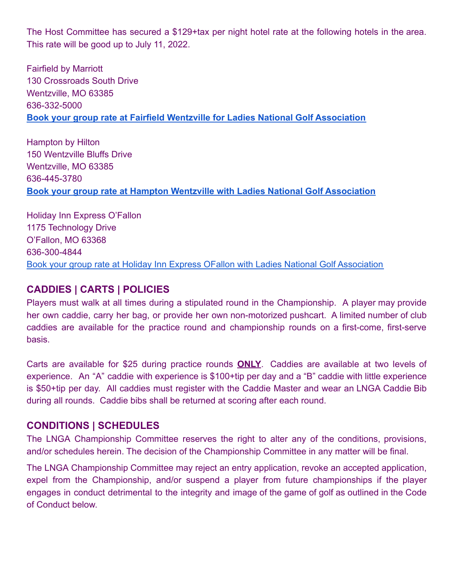The Host Committee has secured a \$129+tax per night hotel rate at the following hotels in the area. This rate will be good up to July 11, 2022.

Fairfield by Marriott 130 Crossroads South Drive Wentzville, MO 63385 636-332-5000 **[Book your group rate at Fairfield Wentzville for Ladies National Golf Association](https://www.marriott.com/events/start.mi?id=1648581096362&key=GRP)**

Hampton by Hilton 150 Wentzville Bluffs Drive Wentzville, MO 63385 636-445-3780 **[Book your group rate at Hampton Wentzville with Ladies National Golf Association](https://www.hilton.com/en/book/reservation/deeplink/?ctyhocn=STLWZHX&groupCode=CHHLNG&arrivaldate=2022-07-23&departuredate=2022-07-29&cid=OM,WW,HILTONLINK,EN,DirectLink&fromId=HILTONLINKDIRECT)**

Holiday Inn Express O'Fallon 1175 Technology Drive O'Fallon, MO 63368 636-300-4844 [Book your group rate at Holiday Inn Express OFallon with Ladies National Golf Association](https://www.hiexpress.com/redirect?path=hd&brandCode=EX&localeCode=en®ionCode=1&hotelCode=OFLTD&_PMID=99801505&GPC=LNG&cn=no&viewfullsite=true)

#### **CADDIES | CARTS | POLICIES**

Players must walk at all times during a stipulated round in the Championship. A player may provide her own caddie, carry her bag, or provide her own non-motorized pushcart. A limited number of club caddies are available for the practice round and championship rounds on a first-come, first-serve basis.

Carts are available for \$25 during practice rounds **ONLY**. Caddies are available at two levels of experience. An "A" caddie with experience is \$100+tip per day and a "B" caddie with little experience is \$50+tip per day. All caddies must register with the Caddie Master and wear an LNGA Caddie Bib during all rounds. Caddie bibs shall be returned at scoring after each round.

#### **CONDITIONS | SCHEDULES**

The LNGA Championship Committee reserves the right to alter any of the conditions, provisions, and/or schedules herein. The decision of the Championship Committee in any matter will be final.

The LNGA Championship Committee may reject an entry application, revoke an accepted application, expel from the Championship, and/or suspend a player from future championships if the player engages in conduct detrimental to the integrity and image of the game of golf as outlined in the Code of Conduct below.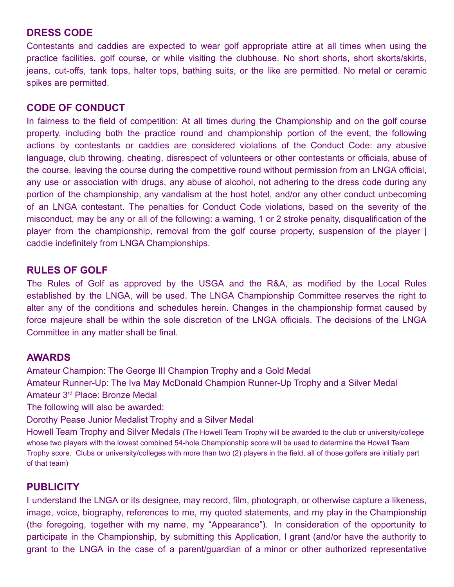#### **DRESS CODE**

Contestants and caddies are expected to wear golf appropriate attire at all times when using the practice facilities, golf course, or while visiting the clubhouse. No short shorts, short skorts/skirts, jeans, cut-offs, tank tops, halter tops, bathing suits, or the like are permitted. No metal or ceramic spikes are permitted.

#### **CODE OF CONDUCT**

In fairness to the field of competition: At all times during the Championship and on the golf course property, including both the practice round and championship portion of the event, the following actions by contestants or caddies are considered violations of the Conduct Code: any abusive language, club throwing, cheating, disrespect of volunteers or other contestants or officials, abuse of the course, leaving the course during the competitive round without permission from an LNGA official, any use or association with drugs, any abuse of alcohol, not adhering to the dress code during any portion of the championship, any vandalism at the host hotel, and/or any other conduct unbecoming of an LNGA contestant. The penalties for Conduct Code violations, based on the severity of the misconduct, may be any or all of the following: a warning, 1 or 2 stroke penalty, disqualification of the player from the championship, removal from the golf course property, suspension of the player I caddie indefinitely from LNGA Championships.

## **RULES OF GOLF**

The Rules of Golf as approved by the USGA and the R&A, as modified by the Local Rules established by the LNGA, will be used. The LNGA Championship Committee reserves the right to alter any of the conditions and schedules herein. Changes in the championship format caused by force majeure shall be within the sole discretion of the LNGA officials. The decisions of the LNGA Committee in any matter shall be final.

#### **AWARDS**

Amateur Champion: The George III Champion Trophy and a Gold Medal Amateur Runner-Up: The Iva May McDonald Champion Runner-Up Trophy and a Silver Medal Amateur 3rd Place: Bronze Medal

The following will also be awarded:

Dorothy Pease Junior Medalist Trophy and a Silver Medal

Howell Team Trophy and Silver Medals (The Howell Team Trophy will be awarded to the club or university/college whose two players with the lowest combined 54-hole Championship score will be used to determine the Howell Team Trophy score. Clubs or university/colleges with more than two (2) players in the field, all of those golfers are initially part of that team)

## **PUBLICITY**

I understand the LNGA or its designee, may record, film, photograph, or otherwise capture a likeness, image, voice, biography, references to me, my quoted statements, and my play in the Championship (the foregoing, together with my name, my "Appearance"). In consideration of the opportunity to participate in the Championship, by submitting this Application, I grant (and/or have the authority to grant to the LNGA in the case of a parent/guardian of a minor or other authorized representative